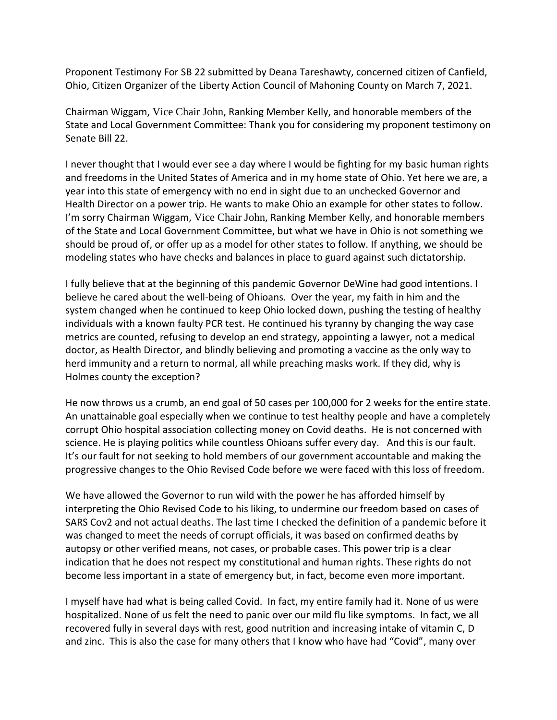Proponent Testimony For SB 22 submitted by Deana Tareshawty, concerned citizen of Canfield, Ohio, Citizen Organizer of the Liberty Action Council of Mahoning County on March 7, 2021.

Chairman Wiggam, Vice Chair John, Ranking Member Kelly, and honorable members of the State and Local Government Committee: Thank you for considering my proponent testimony on Senate Bill 22.

I never thought that I would ever see a day where I would be fighting for my basic human rights and freedoms in the United States of America and in my home state of Ohio. Yet here we are, a year into this state of emergency with no end in sight due to an unchecked Governor and Health Director on a power trip. He wants to make Ohio an example for other states to follow. I'm sorry Chairman Wiggam, Vice Chair John, Ranking Member Kelly, and honorable members of the State and Local Government Committee, but what we have in Ohio is not something we should be proud of, or offer up as a model for other states to follow. If anything, we should be modeling states who have checks and balances in place to guard against such dictatorship.

I fully believe that at the beginning of this pandemic Governor DeWine had good intentions. I believe he cared about the well-being of Ohioans. Over the year, my faith in him and the system changed when he continued to keep Ohio locked down, pushing the testing of healthy individuals with a known faulty PCR test. He continued his tyranny by changing the way case metrics are counted, refusing to develop an end strategy, appointing a lawyer, not a medical doctor, as Health Director, and blindly believing and promoting a vaccine as the only way to herd immunity and a return to normal, all while preaching masks work. If they did, why is Holmes county the exception?

He now throws us a crumb, an end goal of 50 cases per 100,000 for 2 weeks for the entire state. An unattainable goal especially when we continue to test healthy people and have a completely corrupt Ohio hospital association collecting money on Covid deaths. He is not concerned with science. He is playing politics while countless Ohioans suffer every day. And this is our fault. It's our fault for not seeking to hold members of our government accountable and making the progressive changes to the Ohio Revised Code before we were faced with this loss of freedom.

We have allowed the Governor to run wild with the power he has afforded himself by interpreting the Ohio Revised Code to his liking, to undermine our freedom based on cases of SARS Cov2 and not actual deaths. The last time I checked the definition of a pandemic before it was changed to meet the needs of corrupt officials, it was based on confirmed deaths by autopsy or other verified means, not cases, or probable cases. This power trip is a clear indication that he does not respect my constitutional and human rights. These rights do not become less important in a state of emergency but, in fact, become even more important.

I myself have had what is being called Covid. In fact, my entire family had it. None of us were hospitalized. None of us felt the need to panic over our mild flu like symptoms. In fact, we all recovered fully in several days with rest, good nutrition and increasing intake of vitamin C, D and zinc. This is also the case for many others that I know who have had "Covid", many over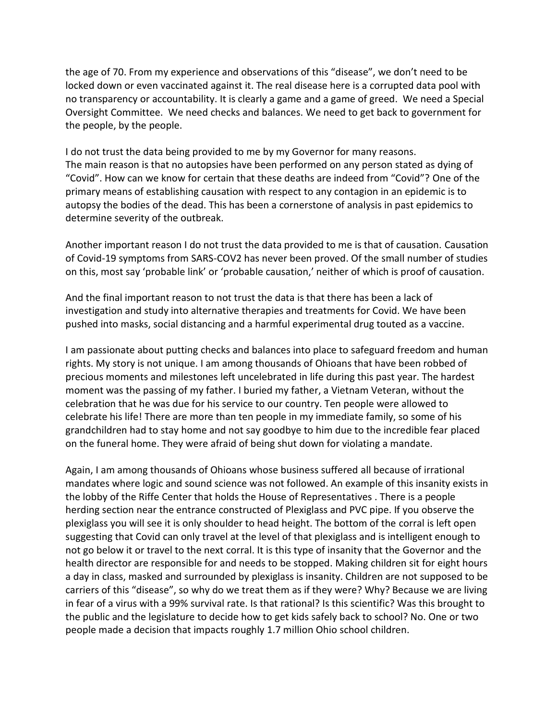the age of 70. From my experience and observations of this "disease", we don't need to be locked down or even vaccinated against it. The real disease here is a corrupted data pool with no transparency or accountability. It is clearly a game and a game of greed. We need a Special Oversight Committee. We need checks and balances. We need to get back to government for the people, by the people.

I do not trust the data being provided to me by my Governor for many reasons. The main reason is that no autopsies have been performed on any person stated as dying of "Covid". How can we know for certain that these deaths are indeed from "Covid"? One of the primary means of establishing causation with respect to any contagion in an epidemic is to autopsy the bodies of the dead. This has been a cornerstone of analysis in past epidemics to determine severity of the outbreak.

Another important reason I do not trust the data provided to me is that of causation. Causation of Covid-19 symptoms from SARS-COV2 has never been proved. Of the small number of studies on this, most say 'probable link' or 'probable causation,' neither of which is proof of causation.

And the final important reason to not trust the data is that there has been a lack of investigation and study into alternative therapies and treatments for Covid. We have been pushed into masks, social distancing and a harmful experimental drug touted as a vaccine.

I am passionate about putting checks and balances into place to safeguard freedom and human rights. My story is not unique. I am among thousands of Ohioans that have been robbed of precious moments and milestones left uncelebrated in life during this past year. The hardest moment was the passing of my father. I buried my father, a Vietnam Veteran, without the celebration that he was due for his service to our country. Ten people were allowed to celebrate his life! There are more than ten people in my immediate family, so some of his grandchildren had to stay home and not say goodbye to him due to the incredible fear placed on the funeral home. They were afraid of being shut down for violating a mandate.

Again, I am among thousands of Ohioans whose business suffered all because of irrational mandates where logic and sound science was not followed. An example of this insanity exists in the lobby of the Riffe Center that holds the House of Representatives . There is a people herding section near the entrance constructed of Plexiglass and PVC pipe. If you observe the plexiglass you will see it is only shoulder to head height. The bottom of the corral is left open suggesting that Covid can only travel at the level of that plexiglass and is intelligent enough to not go below it or travel to the next corral. It is this type of insanity that the Governor and the health director are responsible for and needs to be stopped. Making children sit for eight hours a day in class, masked and surrounded by plexiglass is insanity. Children are not supposed to be carriers of this "disease", so why do we treat them as if they were? Why? Because we are living in fear of a virus with a 99% survival rate. Is that rational? Is this scientific? Was this brought to the public and the legislature to decide how to get kids safely back to school? No. One or two people made a decision that impacts roughly 1.7 million Ohio school children.